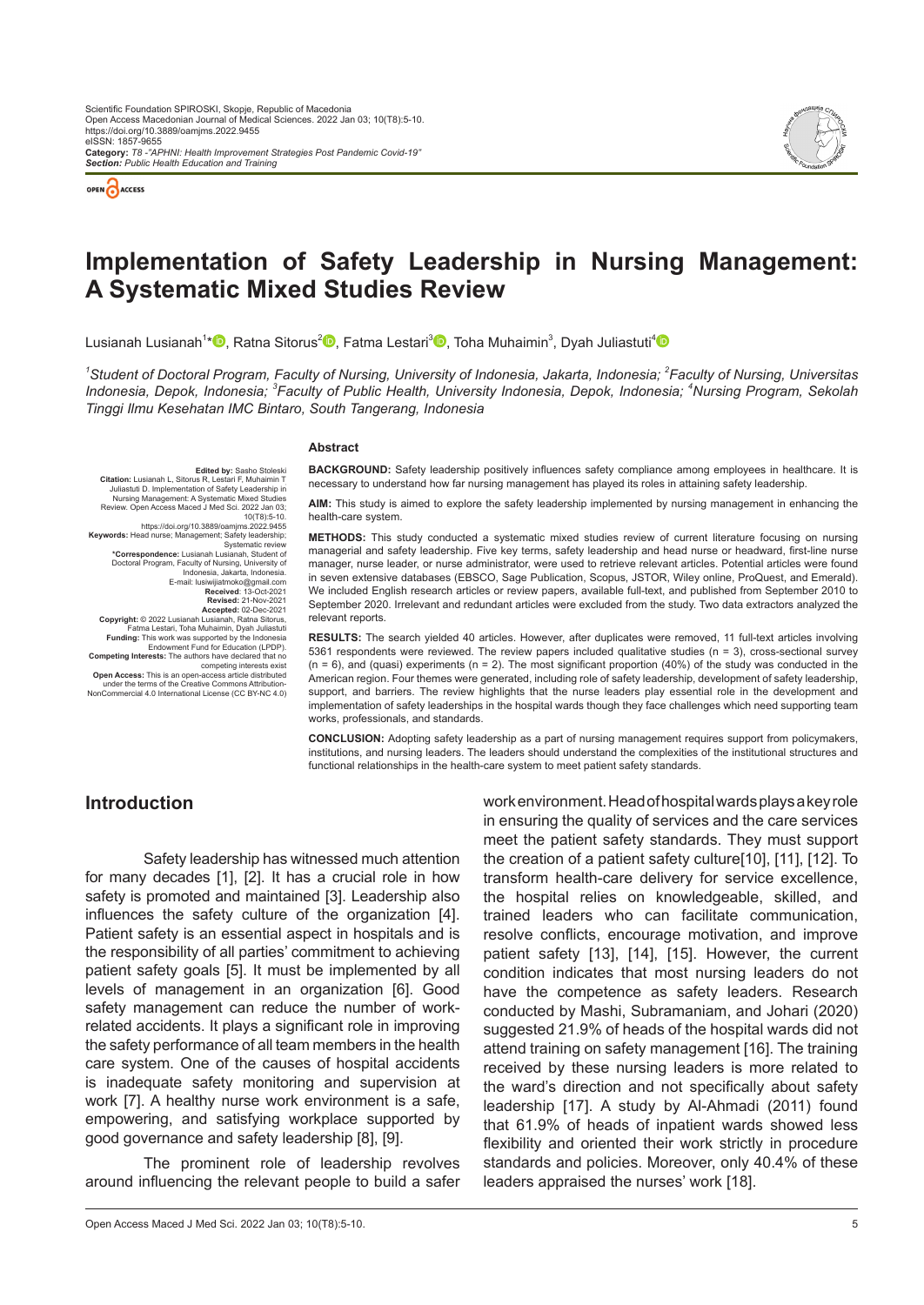



# **Implementation of Safety Leadership in Nursing Management: A Systematic Mixed Studies Review**

Lusianah Lusianah<sup>1</sup>[\\*](https://orcid.org/0000-0002-1732-2917)❶[,](https://orcid.org/0000-0002-0419-0468) Ratna Sitorus<sup>2</sup>❶, Fatma Lestari<sup>3</sup>❶, Toha Muhaimin<sup>3</sup>, Dyah Juliastuti<sup>[4](https://orcid.org/0000-0002-4159-9166)</sup>

*1 Student of Doctoral Program, Faculty of Nursing, University of Indonesia, Jakarta, Indonesia; 2 Faculty of Nursing, Universitas Indonesia, Depok, Indonesia; <sup>3</sup> Faculty of Public Health, University Indonesia, Depok, Indonesia; <sup>4</sup> Nursing Program, Sekolah Tinggi Ilmu Kesehatan IMC Bintaro, South Tangerang, Indonesia*

#### **Abstract**

**BACKGROUND:** Safety leadership positively influences safety compliance among employees in healthcare. It is necessary to understand how far nursing management has played its roles in attaining safety leadership.

**AIM:** This study is aimed to explore the safety leadership implemented by nursing management in enhancing the health-care system.

**Citation:** Lusianah L, Sitorus R, Lestari F, Muhaimin T, Juliastuti D. Implementation of Safety Leadership in Nursing Management: A Systematic Mixed Studies Review. Open Access Maced J Med Sci. 2022 Jan 03; 10(T8):5-10. https://doi.org/10.3889/oamjms.2022.9455 **Keywords:** Head nurse; Management; Safety leadership; Systematic review **\*Correspondence:** Lusianah Lusianah, Student of Doctoral Program, Faculty of Nursing, University of Indonesia, Jakarta, Indonesia. E-mail: lusiwijiatmoko@gmail.com **Received**: 13-Oct-2021 **Revised:** 21-Nov-2021 **Accepted:** 02-Dec-2021 **Copyright:** © 2022 Lusianah Lusianah, Ratna Sitorus,

**Edited by:** Sasho Stoleski

Fatma Lestari, Toha Muhaimin, Dyah Juliastuti

**Funding:** This work was supported by the Indonesia<br>Endowment Fund for Education (LPDP).

Endowment Fund for Education (LPDP).<br>Competing Interests: The authors have declared that no<br>
competing interests exist<br>
Open Access: This is an open-access article distributed<br>
under the terms of the Creative Commons Attri

**METHODS:** This study conducted a systematic mixed studies review of current literature focusing on nursing managerial and safety leadership. Five key terms, safety leadership and head nurse or headward, first-line nurse manager, nurse leader, or nurse administrator, were used to retrieve relevant articles. Potential articles were found in seven extensive databases (EBSCO, Sage Publication, Scopus, JSTOR, Wiley online, ProQuest, and Emerald). We included English research articles or review papers, available full-text, and published from September 2010 to September 2020. Irrelevant and redundant articles were excluded from the study. Two data extractors analyzed the relevant reports.

**RESULTS:** The search yielded 40 articles. However, after duplicates were removed, 11 full-text articles involving 5361 respondents were reviewed. The review papers included qualitative studies (n = 3), cross-sectional survey  $(n = 6)$ , and (quasi) experiments  $(n = 2)$ . The most significant proportion  $(40%)$  of the study was conducted in the American region. Four themes were generated, including role of safety leadership, development of safety leadership, support, and barriers. The review highlights that the nurse leaders play essential role in the development and implementation of safety leaderships in the hospital wards though they face challenges which need supporting team works, professionals, and standards.

**CONCLUSION:** Adopting safety leadership as a part of nursing management requires support from policymakers, institutions, and nursing leaders. The leaders should understand the complexities of the institutional structures and functional relationships in the health-care system to meet patient safety standards.

## **Introduction**

Safety leadership has witnessed much attention for many decades [1], [2]. It has a crucial role in how safety is promoted and maintained [3]. Leadership also influences the safety culture of the organization [4]. Patient safety is an essential aspect in hospitals and is the responsibility of all parties' commitment to achieving patient safety goals [5]. It must be implemented by all levels of management in an organization [6]. Good safety management can reduce the number of workrelated accidents. It plays a significant role in improving the safety performance of all team members in the health care system. One of the causes of hospital accidents is inadequate safety monitoring and supervision at work [7]. A healthy nurse work environment is a safe, empowering, and satisfying workplace supported by good governance and safety leadership [8], [9].

The prominent role of leadership revolves around influencing the relevant people to build a safer

work environment. Head of hospital wards plays a key role in ensuring the quality of services and the care services meet the patient safety standards. They must support the creation of a patient safety culture[10], [11], [12]. To transform health-care delivery for service excellence, the hospital relies on knowledgeable, skilled, and trained leaders who can facilitate communication, resolve conflicts, encourage motivation, and improve patient safety [13], [14], [15]. However, the current condition indicates that most nursing leaders do not have the competence as safety leaders. Research conducted by Mashi, Subramaniam, and Johari (2020) suggested 21.9% of heads of the hospital wards did not attend training on safety management [16]. The training received by these nursing leaders is more related to the ward's direction and not specifically about safety leadership [17]. A study by Al-Ahmadi (2011) found that 61.9% of heads of inpatient wards showed less flexibility and oriented their work strictly in procedure standards and policies. Moreover, only 40.4% of these leaders appraised the nurses' work [18].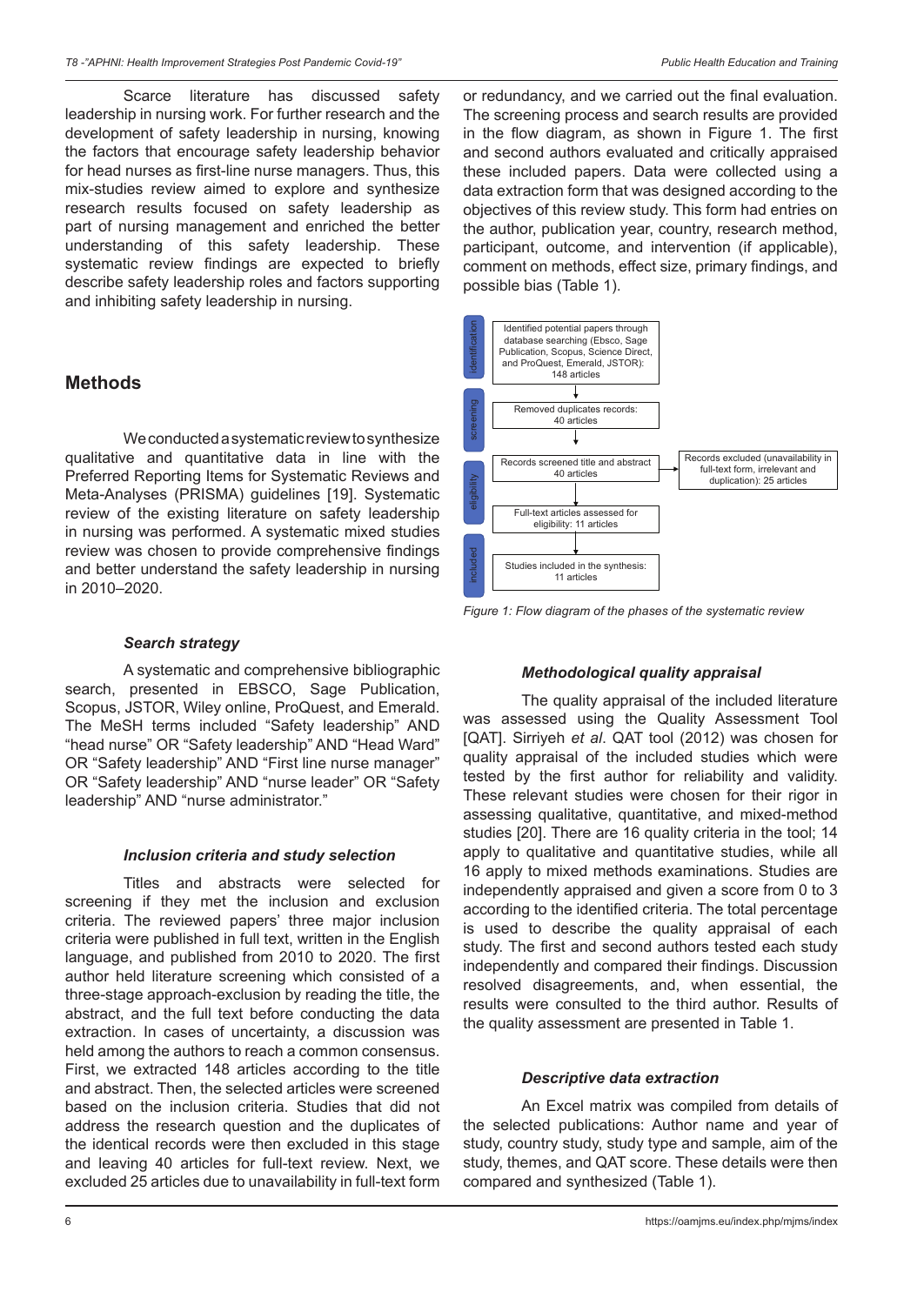Scarce literature has discussed safety leadership in nursing work. For further research and the development of safety leadership in nursing, knowing the factors that encourage safety leadership behavior for head nurses as first-line nurse managers. Thus, this mix-studies review aimed to explore and synthesize research results focused on safety leadership as part of nursing management and enriched the better understanding of this safety leadership. These systematic review findings are expected to briefly describe safety leadership roles and factors supporting and inhibiting safety leadership in nursing.

## **Methods**

We conducted a systematic review to synthesize qualitative and quantitative data in line with the Preferred Reporting Items for Systematic Reviews and Meta-Analyses (PRISMA) guidelines [19]. Systematic review of the existing literature on safety leadership in nursing was performed. A systematic mixed studies review was chosen to provide comprehensive findings and better understand the safety leadership in nursing in 2010–2020.

### *Search strategy*

A systematic and comprehensive bibliographic search, presented in EBSCO, Sage Publication, Scopus, JSTOR, Wiley online, ProQuest, and Emerald. The MeSH terms included "Safety leadership" AND "head nurse" OR "Safety leadership" AND "Head Ward" OR "Safety leadership" AND "First line nurse manager" OR "Safety leadership" AND "nurse leader" OR "Safety leadership" AND "nurse administrator."

#### *Inclusion criteria and study selection*

Titles and abstracts were selected for screening if they met the inclusion and exclusion criteria. The reviewed papers' three major inclusion criteria were published in full text, written in the English language, and published from 2010 to 2020. The first author held literature screening which consisted of a three-stage approach-exclusion by reading the title, the abstract, and the full text before conducting the data extraction. In cases of uncertainty, a discussion was held among the authors to reach a common consensus. First, we extracted 148 articles according to the title and abstract. Then, the selected articles were screened based on the inclusion criteria. Studies that did not address the research question and the duplicates of the identical records were then excluded in this stage and leaving 40 articles for full-text review. Next, we excluded 25 articles due to unavailability in full-text form or redundancy, and we carried out the final evaluation. The screening process and search results are provided in the flow diagram, as shown in Figure 1. The first and second authors evaluated and critically appraised these included papers. Data were collected using a data extraction form that was designed according to the objectives of this review study. This form had entries on the author, publication year, country, research method, participant, outcome, and intervention (if applicable), comment on methods, effect size, primary findings, and possible bias (Table 1).



*Figure 1: Flow diagram of the phases of the systematic review*

### *Methodological quality appraisal*

The quality appraisal of the included literature was assessed using the Quality Assessment Tool [QAT]. Sirriyeh *et al*. QAT tool (2012) was chosen for quality appraisal of the included studies which were tested by the first author for reliability and validity. These relevant studies were chosen for their rigor in assessing qualitative, quantitative, and mixed-method studies [20]. There are 16 quality criteria in the tool; 14 apply to qualitative and quantitative studies, while all 16 apply to mixed methods examinations. Studies are independently appraised and given a score from 0 to 3 according to the identified criteria. The total percentage is used to describe the quality appraisal of each study. The first and second authors tested each study independently and compared their findings. Discussion resolved disagreements, and, when essential, the results were consulted to the third author. Results of the quality assessment are presented in Table 1.

### *Descriptive data extraction*

An Excel matrix was compiled from details of the selected publications: Author name and year of study, country study, study type and sample, aim of the study, themes, and QAT score. These details were then compared and synthesized (Table 1).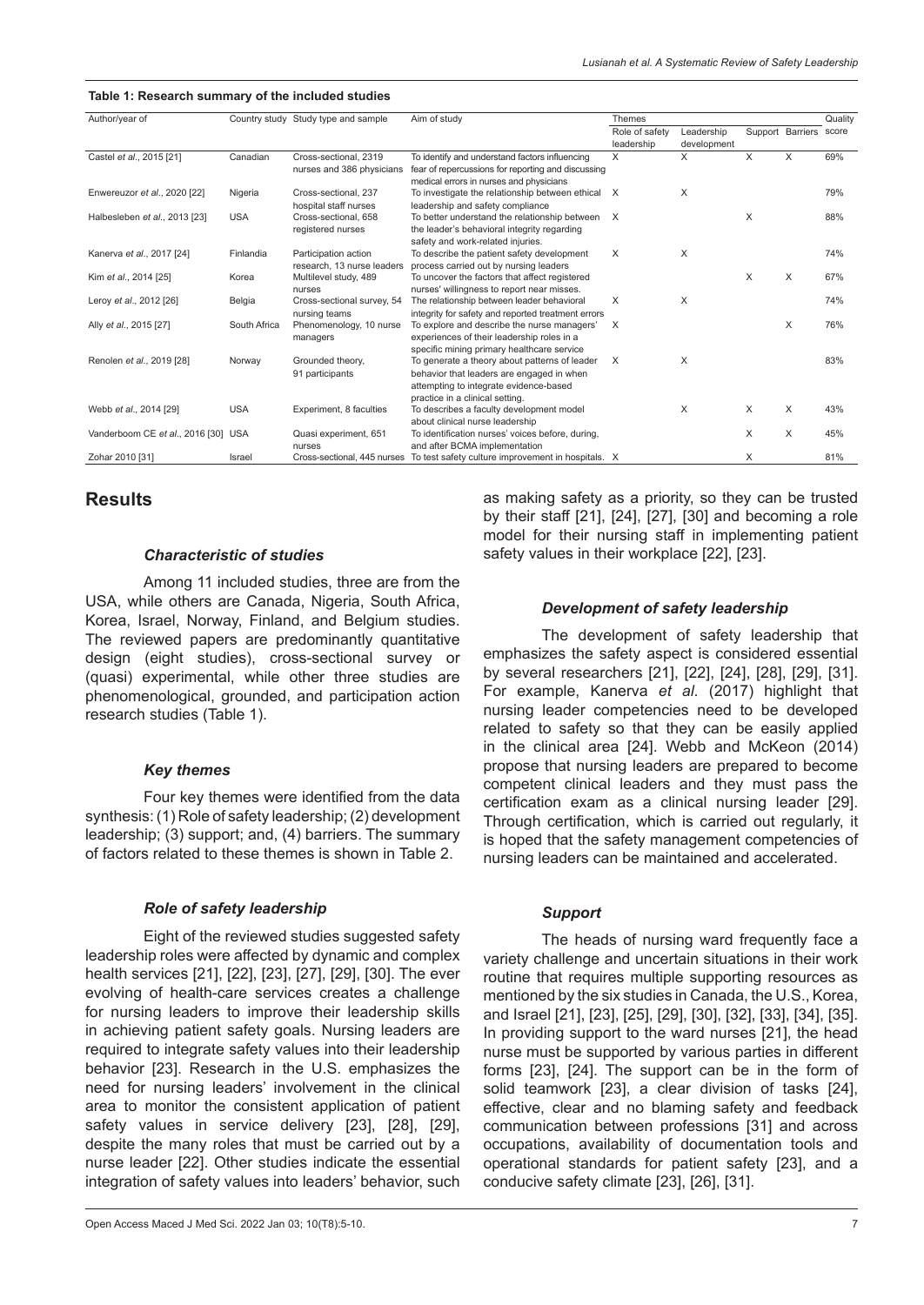#### **Table 1: Research summary of the included studies**

| Author/year of                      |              | Country study Study type and sample | Aim of study                                       | <b>Themes</b>  |             |   |                        | Quality |
|-------------------------------------|--------------|-------------------------------------|----------------------------------------------------|----------------|-------------|---|------------------------|---------|
|                                     |              |                                     |                                                    | Role of safety | Leadership  |   | Support Barriers score |         |
|                                     |              |                                     |                                                    | leadership     | development |   |                        |         |
| Castel et al., 2015 [21]            | Canadian     | Cross-sectional, 2319               | To identify and understand factors influencing     | $\times$       | X           | X | X                      | 69%     |
|                                     |              | nurses and 386 physicians           | fear of repercussions for reporting and discussing |                |             |   |                        |         |
|                                     |              |                                     | medical errors in nurses and physicians            |                |             |   |                        |         |
| Enwereuzor et al., 2020 [22]        | Nigeria      | Cross-sectional, 237                | To investigate the relationship between ethical X  |                | $\times$    |   |                        | 79%     |
|                                     |              | hospital staff nurses               | leadership and safety compliance                   |                |             |   |                        |         |
| Halbesleben et al., 2013 [23]       | <b>USA</b>   | Cross-sectional, 658                | To better understand the relationship between      | X              |             | X |                        | 88%     |
|                                     |              | registered nurses                   | the leader's behavioral integrity regarding        |                |             |   |                        |         |
|                                     |              |                                     | safety and work-related injuries.                  |                |             |   |                        |         |
| Kanerva et al., 2017 [24]           | Finlandia    | Participation action                | To describe the patient safety development         | $\times$       | X           |   |                        | 74%     |
|                                     |              | research. 13 nurse leaders          | process carried out by nursing leaders             |                |             |   |                        |         |
| Kim et al., 2014 [25]               | Korea        | Multilevel study, 489               | To uncover the factors that affect registered      |                |             | X | X                      | 67%     |
|                                     |              | nurses                              | nurses' willingness to report near misses.         |                |             |   |                        |         |
| Leroy et al., 2012 [26]             | Belgia       | Cross-sectional survey, 54          | The relationship between leader behavioral         | $\times$       | X           |   |                        | 74%     |
|                                     |              | nursing teams                       | integrity for safety and reported treatment errors |                |             |   |                        |         |
| Ally et al., 2015 [27]              | South Africa | Phenomenology, 10 nurse             | To explore and describe the nurse managers'        | X              |             |   | $\times$               | 76%     |
|                                     |              | managers                            | experiences of their leadership roles in a         |                |             |   |                        |         |
|                                     |              |                                     | specific mining primary healthcare service         |                |             |   |                        |         |
| Renolen et al., 2019 [28]           | Norway       | Grounded theory,                    | To generate a theory about patterns of leader      | X              | X           |   |                        | 83%     |
|                                     |              | 91 participants                     | behavior that leaders are engaged in when          |                |             |   |                        |         |
|                                     |              |                                     | attempting to integrate evidence-based             |                |             |   |                        |         |
|                                     |              |                                     | practice in a clinical setting.                    |                |             |   |                        |         |
| Webb et al., 2014 [29]              | <b>USA</b>   | Experiment, 8 faculties             | To describes a faculty development model           |                | X           | X | X                      | 43%     |
|                                     |              |                                     | about clinical nurse leadership                    |                |             |   |                        |         |
| Vanderboom CE et al., 2016 [30] USA |              | Quasi experiment, 651               | To identification nurses' voices before, during,   |                |             | X | X                      | 45%     |
|                                     |              | nurses                              | and after BCMA implementation                      |                |             |   |                        |         |
| Zohar 2010 [31]                     | Israel       | Cross-sectional, 445 nurses         | To test safety culture improvement in hospitals. X |                |             | X |                        | 81%     |

## **Results**

#### *Characteristic of studies*

Among 11 included studies, three are from the USA, while others are Canada, Nigeria, South Africa, Korea, Israel, Norway, Finland, and Belgium studies. The reviewed papers are predominantly quantitative design (eight studies), cross-sectional survey or (quasi) experimental, while other three studies are phenomenological, grounded, and participation action research studies (Table 1).

#### *Key themes*

Four key themes were identified from the data synthesis: (1) Role of safety leadership; (2) development leadership; (3) support; and, (4) barriers. The summary of factors related to these themes is shown in Table 2.

### *Role of safety leadership*

Eight of the reviewed studies suggested safety leadership roles were affected by dynamic and complex health services [21], [22], [23], [27], [29], [30]. The ever evolving of health-care services creates a challenge for nursing leaders to improve their leadership skills in achieving patient safety goals. Nursing leaders are required to integrate safety values into their leadership behavior [23]. Research in the U.S. emphasizes the need for nursing leaders' involvement in the clinical area to monitor the consistent application of patient safety values in service delivery [23], [28], [29], despite the many roles that must be carried out by a nurse leader [22]. Other studies indicate the essential integration of safety values into leaders' behavior, such as making safety as a priority, so they can be trusted by their staff [21], [24], [27], [30] and becoming a role model for their nursing staff in implementing patient safety values in their workplace [22], [23].

### *Development of safety leadership*

The development of safety leadership that emphasizes the safety aspect is considered essential by several researchers [21], [22], [24], [28], [29], [31]. For example, Kanerva *et al*. (2017) highlight that nursing leader competencies need to be developed related to safety so that they can be easily applied in the clinical area [24]. Webb and McKeon (2014) propose that nursing leaders are prepared to become competent clinical leaders and they must pass the certification exam as a clinical nursing leader [29]. Through certification, which is carried out regularly, it is hoped that the safety management competencies of nursing leaders can be maintained and accelerated.

### *Support*

The heads of nursing ward frequently face a variety challenge and uncertain situations in their work routine that requires multiple supporting resources as mentioned by the six studies in Canada, the U.S., Korea, and Israel [21], [23], [25], [29], [30], [32], [33], [34], [35]. In providing support to the ward nurses [21], the head nurse must be supported by various parties in different forms [23], [24]. The support can be in the form of solid teamwork [23], a clear division of tasks [24], effective, clear and no blaming safety and feedback communication between professions [31] and across occupations, availability of documentation tools and operational standards for patient safety [23], and a conducive safety climate [23], [26], [31].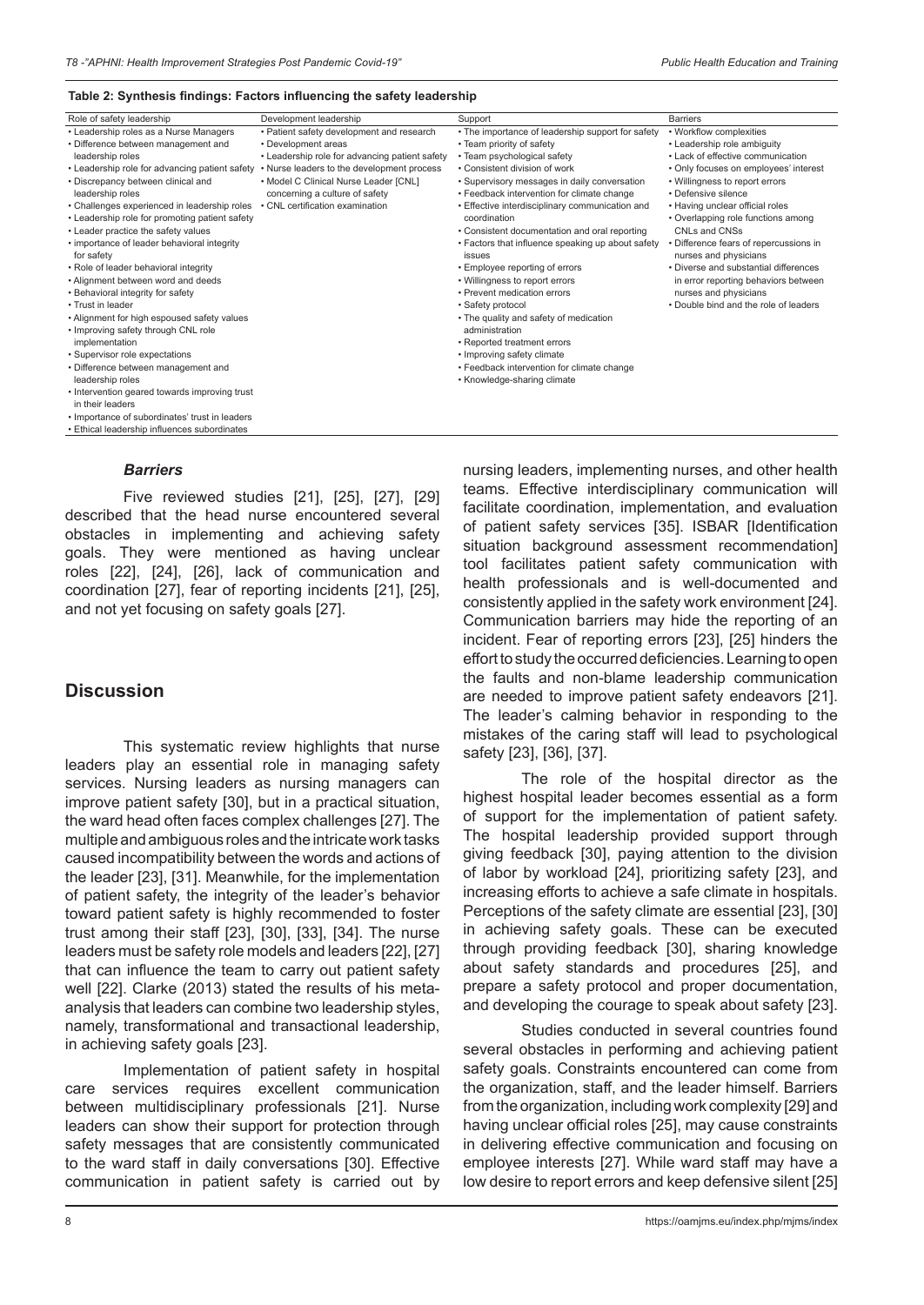#### **Table 2: Synthesis findings: Factors influencing the safety leadership**

| Role of safety leadership                      | Development leadership                         | Support                                           | <b>Barriers</b>                        |
|------------------------------------------------|------------------------------------------------|---------------------------------------------------|----------------------------------------|
| • Leadership roles as a Nurse Managers         | • Patient safety development and research      | • The importance of leadership support for safety | • Workflow complexities                |
| • Difference between management and            | • Development areas                            | • Team priority of safety                         | • Leadership role ambiguity            |
| leadership roles                               | • Leadership role for advancing patient safety | • Team psychological safety                       | • Lack of effective communication      |
| • Leadership role for advancing patient safety | • Nurse leaders to the development process     | • Consistent division of work                     | • Only focuses on employees' interest  |
| • Discrepancy between clinical and             | • Model C Clinical Nurse Leader [CNL]          | • Supervisory messages in daily conversation      | • Willingness to report errors         |
| leadership roles                               | concerning a culture of safety                 | • Feedback intervention for climate change        | • Defensive silence                    |
| • Challenges experienced in leadership roles   | • CNL certification examination                | • Effective interdisciplinary communication and   | • Having unclear official roles        |
| • Leadership role for promoting patient safety |                                                | coordination                                      | • Overlapping role functions among     |
| • Leader practice the safety values            |                                                | • Consistent documentation and oral reporting     | CNLs and CNSs                          |
| • importance of leader behavioral integrity    |                                                | • Factors that influence speaking up about safety | • Difference fears of repercussions in |
| for safety                                     |                                                | issues                                            | nurses and physicians                  |
| • Role of leader behavioral integrity          |                                                | • Employee reporting of errors                    | . Diverse and substantial differences  |
| • Alignment between word and deeds             |                                                | • Willingness to report errors                    | in error reporting behaviors between   |
| • Behavioral integrity for safety              |                                                | • Prevent medication errors                       | nurses and physicians                  |
| • Trust in leader                              |                                                | • Safety protocol                                 | . Double bind and the role of leaders  |
| • Alignment for high espoused safety values    |                                                | • The quality and safety of medication            |                                        |
| • Improving safety through CNL role            |                                                | administration                                    |                                        |
| implementation                                 |                                                | • Reported treatment errors                       |                                        |
| • Supervisor role expectations                 |                                                | • Improving safety climate                        |                                        |
| • Difference between management and            |                                                | • Feedback intervention for climate change        |                                        |
| leadership roles                               |                                                | • Knowledge-sharing climate                       |                                        |
| • Intervention geared towards improving trust  |                                                |                                                   |                                        |
| in their leaders                               |                                                |                                                   |                                        |
| . Importance of subordinates' trust in leaders |                                                |                                                   |                                        |
| • Ethical leadership influences subordinates   |                                                |                                                   |                                        |

### *Barriers*

Five reviewed studies [21], [25], [27], [29] described that the head nurse encountered several obstacles in implementing and achieving safety goals. They were mentioned as having unclear roles [22], [24], [26], lack of communication and coordination [27], fear of reporting incidents [21], [25], and not yet focusing on safety goals [27].

## **Discussion**

This systematic review highlights that nurse leaders play an essential role in managing safety services. Nursing leaders as nursing managers can improve patient safety [30], but in a practical situation, the ward head often faces complex challenges [27]. The multiple and ambiguous roles and the intricate work tasks caused incompatibility between the words and actions of the leader [23], [31]. Meanwhile, for the implementation of patient safety, the integrity of the leader's behavior toward patient safety is highly recommended to foster trust among their staff [23], [30], [33], [34]. The nurse leaders must be safety role models and leaders [22], [27] that can influence the team to carry out patient safety well [22]. Clarke (2013) stated the results of his metaanalysis that leaders can combine two leadership styles, namely, transformational and transactional leadership, in achieving safety goals [23].

Implementation of patient safety in hospital care services requires excellent communication between multidisciplinary professionals [21]. Nurse leaders can show their support for protection through safety messages that are consistently communicated to the ward staff in daily conversations [30]. Effective communication in patient safety is carried out by

nursing leaders, implementing nurses, and other health teams. Effective interdisciplinary communication will facilitate coordination, implementation, and evaluation of patient safety services [35]. ISBAR [Identification situation background assessment recommendation] tool facilitates patient safety communication with health professionals and is well-documented and consistently applied in the safety work environment [24]. Communication barriers may hide the reporting of an incident. Fear of reporting errors [23], [25] hinders the effort to study the occurred deficiencies. Learning to open the faults and non-blame leadership communication are needed to improve patient safety endeavors [21]. The leader's calming behavior in responding to the mistakes of the caring staff will lead to psychological safety [23], [36], [37].

The role of the hospital director as the highest hospital leader becomes essential as a form of support for the implementation of patient safety. The hospital leadership provided support through giving feedback [30], paying attention to the division of labor by workload [24], prioritizing safety [23], and increasing efforts to achieve a safe climate in hospitals. Perceptions of the safety climate are essential [23], [30] in achieving safety goals. These can be executed through providing feedback [30], sharing knowledge about safety standards and procedures [25], and prepare a safety protocol and proper documentation, and developing the courage to speak about safety [23].

Studies conducted in several countries found several obstacles in performing and achieving patient safety goals. Constraints encountered can come from the organization, staff, and the leader himself. Barriers from the organization, including work complexity [29] and having unclear official roles [25], may cause constraints in delivering effective communication and focusing on employee interests [27]. While ward staff may have a low desire to report errors and keep defensive silent [25]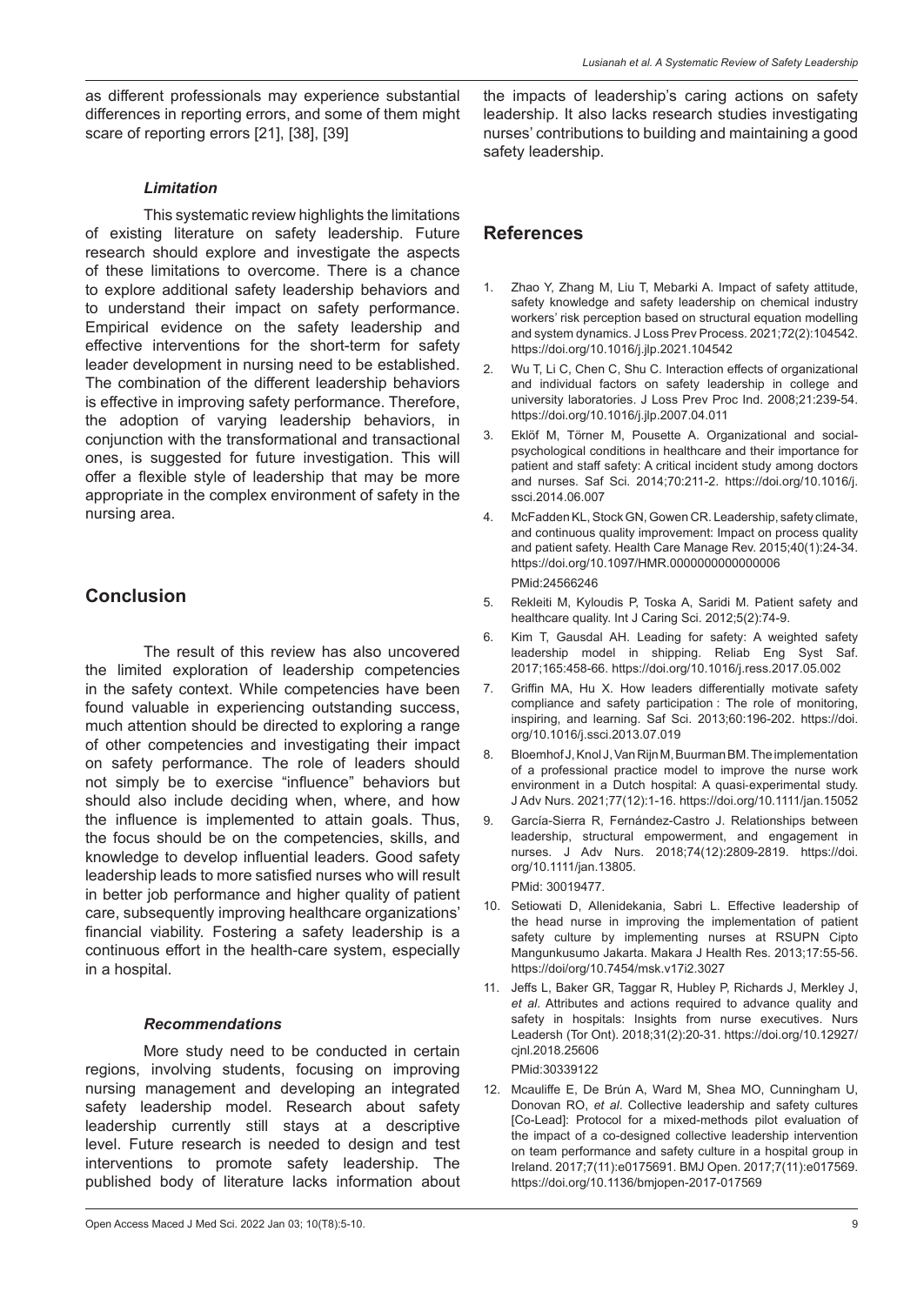as different professionals may experience substantial differences in reporting errors, and some of them might scare of reporting errors [21], [38], [39]

## *Limitation*

This systematic review highlights the limitations of existing literature on safety leadership. Future research should explore and investigate the aspects of these limitations to overcome. There is a chance to explore additional safety leadership behaviors and to understand their impact on safety performance. Empirical evidence on the safety leadership and effective interventions for the short-term for safety leader development in nursing need to be established. The combination of the different leadership behaviors is effective in improving safety performance. Therefore, the adoption of varying leadership behaviors, in conjunction with the transformational and transactional ones, is suggested for future investigation. This will offer a flexible style of leadership that may be more appropriate in the complex environment of safety in the nursing area.

# **Conclusion**

The result of this review has also uncovered the limited exploration of leadership competencies in the safety context. While competencies have been found valuable in experiencing outstanding success, much attention should be directed to exploring a range of other competencies and investigating their impact on safety performance. The role of leaders should not simply be to exercise "influence" behaviors but should also include deciding when, where, and how the influence is implemented to attain goals. Thus, the focus should be on the competencies, skills, and knowledge to develop influential leaders. Good safety leadership leads to more satisfied nurses who will result in better job performance and higher quality of patient care, subsequently improving healthcare organizations' financial viability. Fostering a safety leadership is a continuous effort in the health-care system, especially in a hospital.

## *Recommendations*

More study need to be conducted in certain regions, involving students, focusing on improving nursing management and developing an integrated safety leadership model. Research about safety leadership currently still stays at a descriptive level. Future research is needed to design and test interventions to promote safety leadership. The published body of literature lacks information about the impacts of leadership's caring actions on safety leadership. It also lacks research studies investigating nurses' contributions to building and maintaining a good safety leadership.

## **References**

- 1. Zhao Y, Zhang M, Liu T, Mebarki A. Impact of safety attitude, safety knowledge and safety leadership on chemical industry workers' risk perception based on structural equation modelling and system dynamics. J Loss Prev Process. 2021;72(2):104542. https://doi.org/10.1016/j.jlp.2021.104542
- 2. Wu T, Li C, Chen C, Shu C. Interaction effects of organizational and individual factors on safety leadership in college and university laboratories. J Loss Prev Proc Ind. 2008;21:239-54. https://doi.org/10.1016/j.jlp.2007.04.011
- 3. Eklöf M, Törner M, Pousette A. Organizational and socialpsychological conditions in healthcare and their importance for patient and staff safety: A critical incident study among doctors and nurses. Saf Sci. 2014;70:211-2. https://doi.org/10.1016/j. ssci.2014.06.007
- 4. McFadden KL, Stock GN, Gowen CR. Leadership, safety climate, and continuous quality improvement: Impact on process quality and patient safety. Health Care Manage Rev. 2015;40(1):24-34. https://doi.org/10.1097/HMR.0000000000000006 PMid:24566246
- 5. Rekleiti M, Kyloudis P, Toska A, Saridi M. Patient safety and healthcare quality. Int J Caring Sci. 2012;5(2):74-9.
- 6. Kim T, Gausdal AH. Leading for safety: A weighted safety leadership model in shipping. Reliab Eng Syst Saf. 2017;165:458-66. https://doi.org/10.1016/j.ress.2017.05.002
- 7. Griffin MA, Hu X. How leaders differentially motivate safety compliance and safety participation : The role of monitoring, inspiring, and learning. Saf Sci. 2013;60:196-202. https://doi. org/10.1016/j.ssci.2013.07.019
- 8. Bloemhof J, Knol J, Van Rijn M, Buurman BM. The implementation of a professional practice model to improve the nurse work environment in a Dutch hospital: A quasi‐experimental study. J Adv Nurs. 2021;77(12):1-16. https://doi.org/10.1111/jan.15052
- 9. García-Sierra R, Fernández-Castro J. Relationships between leadership, structural empowerment, and engagement in nurses. J Adv Nurs. 2018;74(12):2809-2819. https://doi. org/10.1111/jan.13805. PMid: 30019477.
- 10. Setiowati D, Allenidekania, Sabri L. Effective leadership of the head nurse in improving the implementation of patient safety culture by implementing nurses at RSUPN Cipto Mangunkusumo Jakarta. Makara J Health Res. 2013;17:55-56. https://doi/org/10.7454/msk.v17i2.3027
- 11. Jeffs L, Baker GR, Taggar R, Hubley P, Richards J, Merkley J, *et al*. Attributes and actions required to advance quality and safety in hospitals: Insights from nurse executives. Nurs Leadersh (Tor Ont). 2018;31(2):20-31. https://doi.org/10.12927/ cjnl.2018.25606 PMid:30339122
- 12. Mcauliffe E, De Brún A, Ward M, Shea MO, Cunningham U, Donovan RO, *et al*. Collective leadership and safety cultures [Co-Lead]: Protocol for a mixed-methods pilot evaluation of the impact of a co-designed collective leadership intervention on team performance and safety culture in a hospital group in Ireland. 2017;7(11):e0175691. BMJ Open. 2017;7(11):e017569. https://doi.org/10.1136/bmjopen-2017-017569